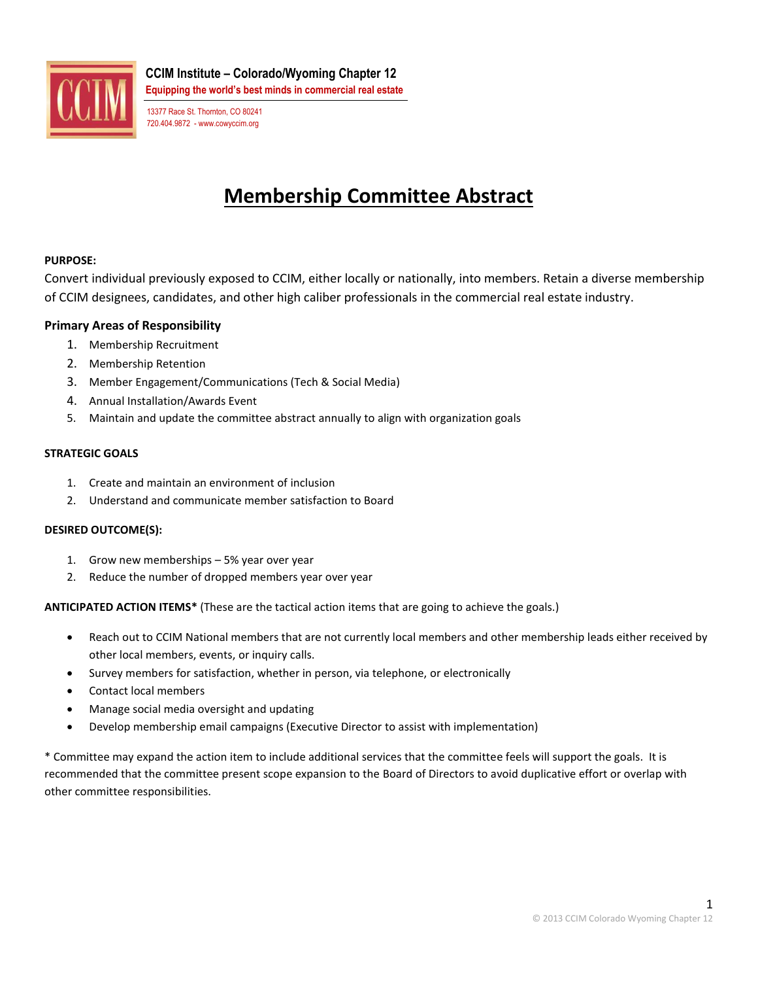

**CCIM Institute – Colorado/Wyoming Chapter 12 Equipping the world's best minds in commercial real estate**

13377 Race St. Thornton, CO 80241 720.404.9872 - www.cowyccim.org

# **Membership Committee Abstract**

## **PURPOSE:**

Convert individual previously exposed to CCIM, either locally or nationally, into members. Retain a diverse membership of CCIM designees, candidates, and other high caliber professionals in the commercial real estate industry.

## **Primary Areas of Responsibility**

- 1. Membership Recruitment
- 2. Membership Retention
- 3. Member Engagement/Communications (Tech & Social Media)
- 4. Annual Installation/Awards Event
- 5. Maintain and update the committee abstract annually to align with organization goals

#### **STRATEGIC GOALS**

- 1. Create and maintain an environment of inclusion
- 2. Understand and communicate member satisfaction to Board

#### **DESIRED OUTCOME(S):**

- 1. Grow new memberships 5% year over year
- 2. Reduce the number of dropped members year over year

**ANTICIPATED ACTION ITEMS\*** (These are the tactical action items that are going to achieve the goals.)

- Reach out to CCIM National members that are not currently local members and other membership leads either received by other local members, events, or inquiry calls.
- Survey members for satisfaction, whether in person, via telephone, or electronically
- Contact local members
- Manage social media oversight and updating
- Develop membership email campaigns (Executive Director to assist with implementation)

\* Committee may expand the action item to include additional services that the committee feels will support the goals. It is recommended that the committee present scope expansion to the Board of Directors to avoid duplicative effort or overlap with other committee responsibilities.